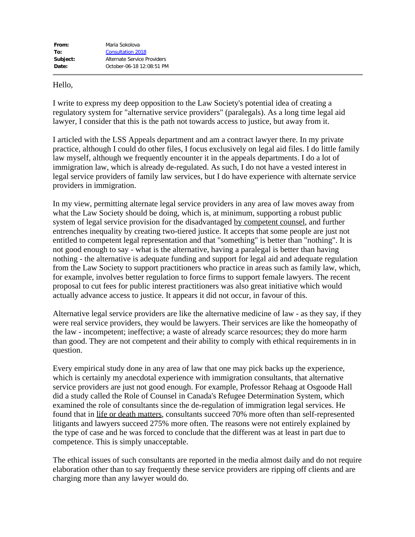## Hello,

I write to express my deep opposition to the Law Society's potential idea of creating a regulatory system for "alternative service providers" (paralegals). As a long time legal aid lawyer, I consider that this is the path not towards access to justice, but away from it.

I articled with the LSS Appeals department and am a contract lawyer there. In my private practice, although I could do other files, I focus exclusively on legal aid files. I do little family law myself, although we frequently encounter it in the appeals departments. I do a lot of immigration law, which is already de-regulated. As such, I do not have a vested interest in legal service providers of family law services, but I do have experience with alternate service providers in immigration.

In my view, permitting alternate legal service providers in any area of law moves away from what the Law Society should be doing, which is, at minimum, supporting a robust public system of legal service provision for the disadvantaged by competent counsel, and further entrenches inequality by creating two-tiered justice. It accepts that some people are just not entitled to competent legal representation and that "something" is better than "nothing". It is not good enough to say - what is the alternative, having a paralegal is better than having nothing - the alternative is adequate funding and support for legal aid and adequate regulation from the Law Society to support practitioners who practice in areas such as family law, which, for example, involves better regulation to force firms to support female lawyers. The recent proposal to cut fees for public interest practitioners was also great initiative which would actually advance access to justice. It appears it did not occur, in favour of this.

Alternative legal service providers are like the alternative medicine of law - as they say, if they were real service providers, they would be lawyers. Their services are like the homeopathy of the law - incompetent; ineffective; a waste of already scarce resources; they do more harm than good. They are not competent and their ability to comply with ethical requirements in in question.

Every empirical study done in any area of law that one may pick backs up the experience, which is certainly my anecdotal experience with immigration consultants, that alternative service providers are just not good enough. For example, Professor Rehaag at Osgoode Hall did a study called the Role of Counsel in Canada's Refugee Determination System, which examined the role of consultants since the de-regulation of immigration legal services. He found that in life or death matters, consultants succeed 70% more often than self-represented litigants and lawyers succeed 275% more often. The reasons were not entirely explained by the type of case and he was forced to conclude that the different was at least in part due to competence. This is simply unacceptable.

The ethical issues of such consultants are reported in the media almost daily and do not require elaboration other than to say frequently these service providers are ripping off clients and are charging more than any lawyer would do.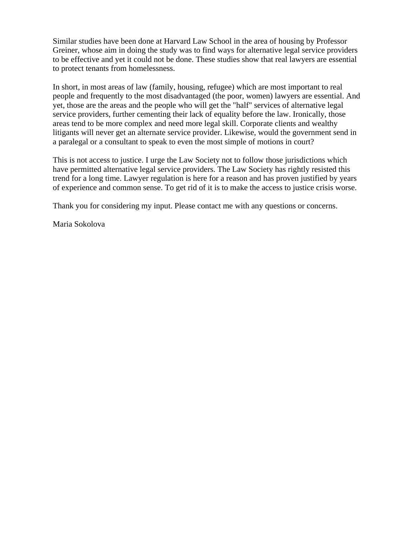Similar studies have been done at Harvard Law School in the area of housing by Professor Greiner, whose aim in doing the study was to find ways for alternative legal service providers to be effective and yet it could not be done. These studies show that real lawyers are essential to protect tenants from homelessness.

In short, in most areas of law (family, housing, refugee) which are most important to real people and frequently to the most disadvantaged (the poor, women) lawyers are essential. And yet, those are the areas and the people who will get the "half" services of alternative legal service providers, further cementing their lack of equality before the law. Ironically, those areas tend to be more complex and need more legal skill. Corporate clients and wealthy litigants will never get an alternate service provider. Likewise, would the government send in a paralegal or a consultant to speak to even the most simple of motions in court?

This is not access to justice. I urge the Law Society not to follow those jurisdictions which have permitted alternative legal service providers. The Law Society has rightly resisted this trend for a long time. Lawyer regulation is here for a reason and has proven justified by years of experience and common sense. To get rid of it is to make the access to justice crisis worse.

Thank you for considering my input. Please contact me with any questions or concerns.

Maria Sokolova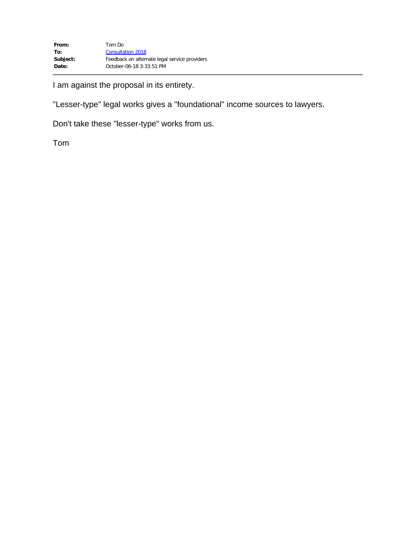I am against the proposal in its entirety.

"Lesser-type" legal works gives a "foundational" income sources to lawyers.

Don't take these "lesser-type" works from us.

Tom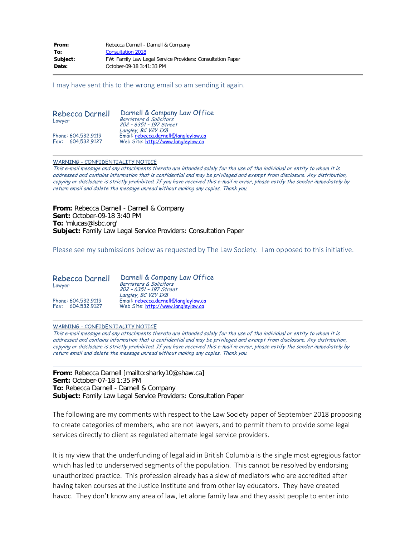| From:    | Rebecca Darnell - Darnell & Company                        |
|----------|------------------------------------------------------------|
| To:      | <b>Consultation 2018</b>                                   |
| Subject: | FW: Family Law Legal Service Providers: Consultation Paper |
| Date:    | October-09-18 3:41:33 PM                                   |

I may have sent this to the wrong email so am sending it again.

| Rebecca Darnell<br>Lawyer                | Darnell & Company Law Office<br>Barristers & Solicitors<br>202 - 6351 - 197 Street                |
|------------------------------------------|---------------------------------------------------------------------------------------------------|
| Phone: 604.532.9119<br>Fax: 604.532.9127 | Langley, BC V2Y 1X8<br>Email: rebecca.darnell@langleylaw.ca<br>Web Site: http://www.langleylaw.ca |

## WARNING - CONFIDENTIALITY NOTICE

This e-mail message and any attachments thereto are intended solely for the use of the individual or entity to whom it is addressed and contains information that is confidential and may be privileged and exempt from disclosure. Any distribution, copying or disclosure is strictly prohibited. If you have received this e-mail in error, please notify the sender immediately by return email and delete the message unread without making any copies. Thank you.

**From:** Rebecca Darnell - Darnell & Company **Sent:** October-09-18 3:40 PM **To:** 'mlucas@lsbc.org' **Subject:** Family Law Legal Service Providers: Consultation Paper

Please see my submissions below as requested by The Law Society. I am opposed to this initiative.

| Rebecca Darnell<br>Lawyer                | Darnell & Company Law Office<br>Barristers & Solicitors<br>202 - 6351 - 197 Street<br>Langley, BC V2Y 1X8<br>Email: rebecca.darnell@langleylaw.ca<br>Web Site: http://www.langleylaw.ca |
|------------------------------------------|-----------------------------------------------------------------------------------------------------------------------------------------------------------------------------------------|
| Phone: 604.532.9119<br>Fax: 604.532.9127 |                                                                                                                                                                                         |

## WARNING - CONFIDENTIALITY NOTICE

This e-mail message and any attachments thereto are intended solely for the use of the individual or entity to whom it is addressed and contains information that is confidential and may be privileged and exempt from disclosure. Any distribution, copying or disclosure is strictly prohibited. If you have received this e-mail in error, please notify the sender immediately by return email and delete the message unread without making any copies. Thank you.

**From:** Rebecca Darnell [mailto:sharky10@shaw.ca] **Sent:** October-07-18 1:35 PM **To:** Rebecca Darnell - Darnell & Company **Subject:** Family Law Legal Service Providers: Consultation Paper

The following are my comments with respect to the Law Society paper of September 2018 proposing to create categories of members, who are not lawyers, and to permit them to provide some legal services directly to client as regulated alternate legal service providers.

It is my view that the underfunding of legal aid in British Columbia is the single most egregious factor which has led to underserved segments of the population. This cannot be resolved by endorsing unauthorized practice. This profession already has a slew of mediators who are accredited after having taken courses at the Justice Institute and from other lay educators. They have created havoc. They don't know any area of law, let alone family law and they assist people to enter into